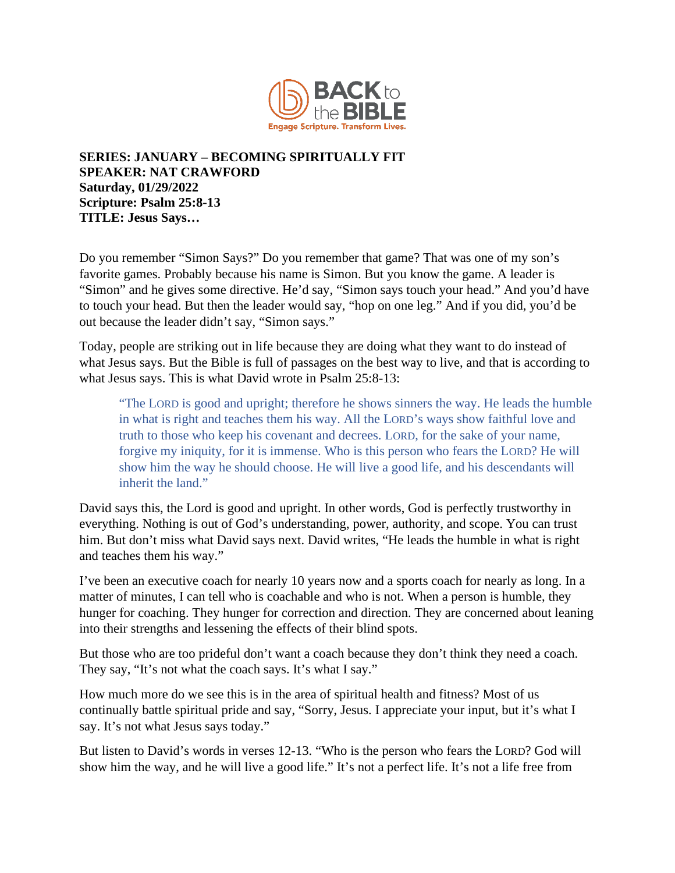

## **SERIES: JANUARY – BECOMING SPIRITUALLY FIT SPEAKER: NAT CRAWFORD Saturday, 01/29/2022 Scripture: Psalm 25:8-13 TITLE: Jesus Says…**

Do you remember "Simon Says?" Do you remember that game? That was one of my son's favorite games. Probably because his name is Simon. But you know the game. A leader is "Simon" and he gives some directive. He'd say, "Simon says touch your head." And you'd have to touch your head. But then the leader would say, "hop on one leg." And if you did, you'd be out because the leader didn't say, "Simon says."

Today, people are striking out in life because they are doing what they want to do instead of what Jesus says. But the Bible is full of passages on the best way to live, and that is according to what Jesus says. This is what David wrote in Psalm 25:8-13:

"The LORD is good and upright; therefore he shows sinners the way. He leads the humble in what is right and teaches them his way. All the LORD's ways show faithful love and truth to those who keep his covenant and decrees. LORD, for the sake of your name, forgive my iniquity, for it is immense. Who is this person who fears the LORD? He will show him the way he should choose. He will live a good life, and his descendants will inherit the land."

David says this, the Lord is good and upright. In other words, God is perfectly trustworthy in everything. Nothing is out of God's understanding, power, authority, and scope. You can trust him. But don't miss what David says next. David writes, "He leads the humble in what is right and teaches them his way."

I've been an executive coach for nearly 10 years now and a sports coach for nearly as long. In a matter of minutes, I can tell who is coachable and who is not. When a person is humble, they hunger for coaching. They hunger for correction and direction. They are concerned about leaning into their strengths and lessening the effects of their blind spots.

But those who are too prideful don't want a coach because they don't think they need a coach. They say, "It's not what the coach says. It's what I say."

How much more do we see this is in the area of spiritual health and fitness? Most of us continually battle spiritual pride and say, "Sorry, Jesus. I appreciate your input, but it's what I say. It's not what Jesus says today."

But listen to David's words in verses 12-13. "Who is the person who fears the LORD? God will show him the way, and he will live a good life." It's not a perfect life. It's not a life free from